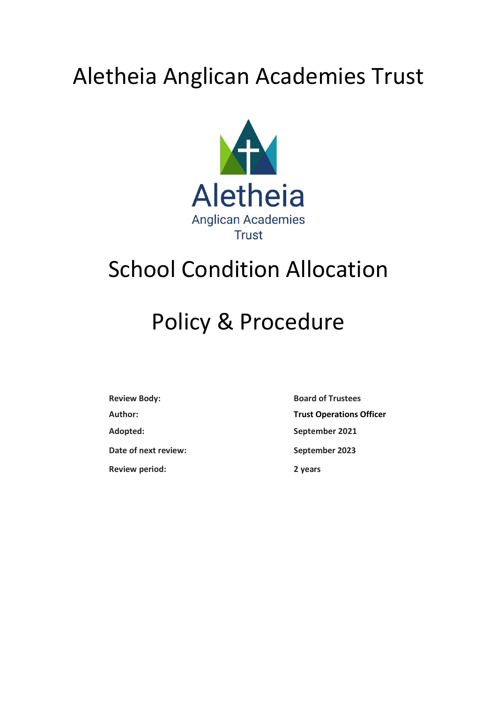# Aletheia Anglican Academies Trust



# School Condition Allocation

# Policy & Procedure

**Review Body: Board of Trustees Adopted: September 2021 Date of next review: September 2023 Review period: 2 years**

**Author: Trust Operations Officer**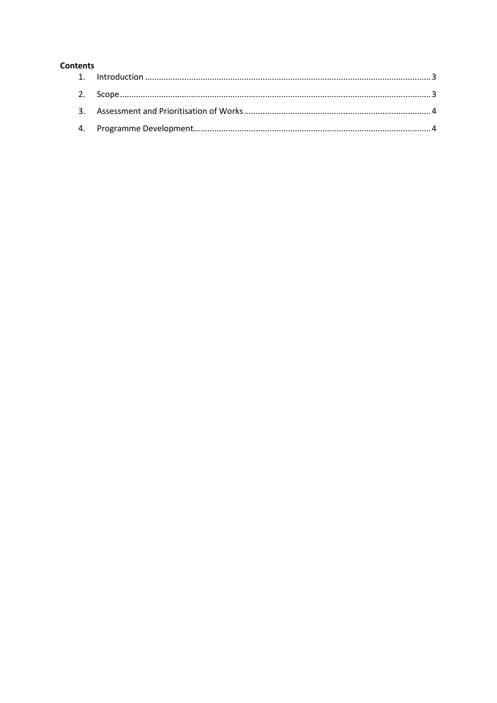#### **Contents**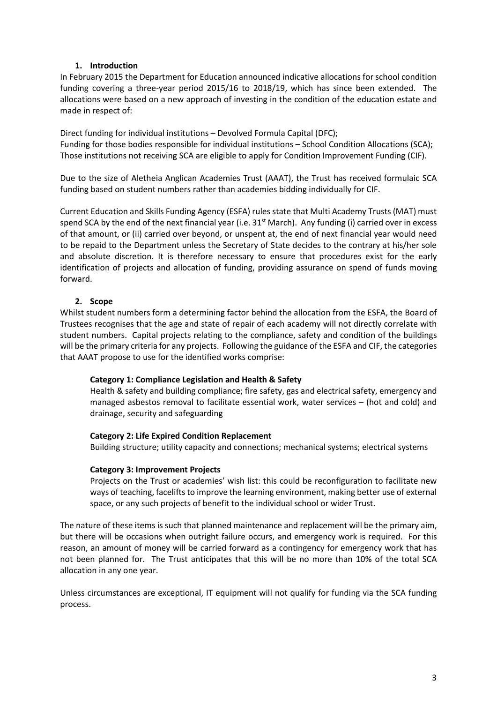### **1. Introduction**

<span id="page-2-0"></span>In February 2015 the Department for Education announced indicative allocations for school condition funding covering a three-year period 2015/16 to 2018/19, which has since been extended. The allocations were based on a new approach of investing in the condition of the education estate and made in respect of:

Direct funding for individual institutions – Devolved Formula Capital (DFC); Funding for those bodies responsible for individual institutions – School Condition Allocations (SCA); Those institutions not receiving SCA are eligible to apply for Condition Improvement Funding (CIF).

Due to the size of Aletheia Anglican Academies Trust (AAAT), the Trust has received formulaic SCA funding based on student numbers rather than academies bidding individually for CIF.

Current Education and Skills Funding Agency (ESFA) rules state that Multi Academy Trusts (MAT) must spend SCA by the end of the next financial year (i.e. 31<sup>st</sup> March). Any funding (i) carried over in excess of that amount, or (ii) carried over beyond, or unspent at, the end of next financial year would need to be repaid to the Department unless the Secretary of State decides to the contrary at his/her sole and absolute discretion. It is therefore necessary to ensure that procedures exist for the early identification of projects and allocation of funding, providing assurance on spend of funds moving forward.

### **2. Scope**

<span id="page-2-1"></span>Whilst student numbers form a determining factor behind the allocation from the ESFA, the Board of Trustees recognises that the age and state of repair of each academy will not directly correlate with student numbers. Capital projects relating to the compliance, safety and condition of the buildings will be the primary criteria for any projects. Following the guidance of the ESFA and CIF, the categories that AAAT propose to use for the identified works comprise:

#### **Category 1: Compliance Legislation and Health & Safety**

Health & safety and building compliance; fire safety, gas and electrical safety, emergency and managed asbestos removal to facilitate essential work, water services – (hot and cold) and drainage, security and safeguarding

#### **Category 2: Life Expired Condition Replacement**

Building structure; utility capacity and connections; mechanical systems; electrical systems

#### **Category 3: Improvement Projects**

Projects on the Trust or academies' wish list: this could be reconfiguration to facilitate new ways of teaching, facelifts to improve the learning environment, making better use of external space, or any such projects of benefit to the individual school or wider Trust.

The nature of these items is such that planned maintenance and replacement will be the primary aim, but there will be occasions when outright failure occurs, and emergency work is required. For this reason, an amount of money will be carried forward as a contingency for emergency work that has not been planned for. The Trust anticipates that this will be no more than 10% of the total SCA allocation in any one year.

Unless circumstances are exceptional, IT equipment will not qualify for funding via the SCA funding process.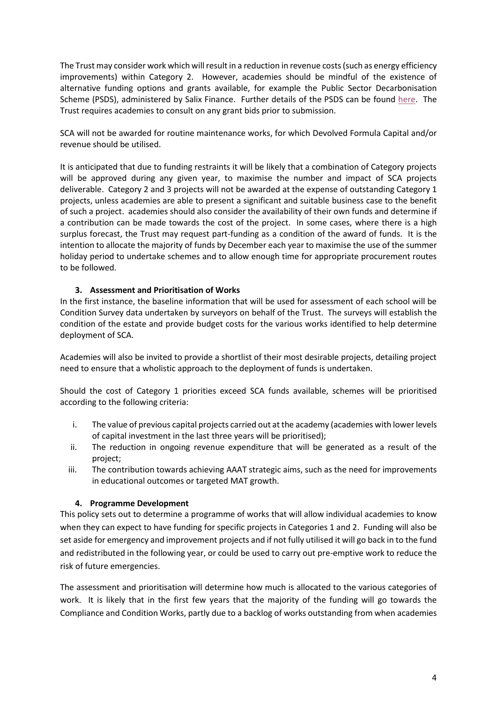The Trust may consider work which will result in a reduction in revenue costs(such as energy efficiency improvements) within Category 2. However, academies should be mindful of the existence of alternative funding options and grants available, for example the Public Sector Decarbonisation Scheme (PSDS), administered by Salix Finance. Further details of the PSDS can be found [here.](https://www.salixfinance.co.uk/PSDS) The Trust requires academies to consult on any grant bids prior to submission.

SCA will not be awarded for routine maintenance works, for which Devolved Formula Capital and/or revenue should be utilised.

It is anticipated that due to funding restraints it will be likely that a combination of Category projects will be approved during any given year, to maximise the number and impact of SCA projects deliverable. Category 2 and 3 projects will not be awarded at the expense of outstanding Category 1 projects, unless academies are able to present a significant and suitable business case to the benefit of such a project. academies should also consider the availability of their own funds and determine if a contribution can be made towards the cost of the project. In some cases, where there is a high surplus forecast, the Trust may request part-funding as a condition of the award of funds. It is the intention to allocate the majority of funds by December each year to maximise the use of the summer holiday period to undertake schemes and to allow enough time for appropriate procurement routes to be followed.

## **3. Assessment and Prioritisation of Works**

<span id="page-3-0"></span>In the first instance, the baseline information that will be used for assessment of each school will be Condition Survey data undertaken by surveyors on behalf of the Trust. The surveys will establish the condition of the estate and provide budget costs for the various works identified to help determine deployment of SCA.

Academies will also be invited to provide a shortlist of their most desirable projects, detailing project need to ensure that a wholistic approach to the deployment of funds is undertaken.

Should the cost of Category 1 priorities exceed SCA funds available, schemes will be prioritised according to the following criteria:

- i. The value of previous capital projects carried out at the academy (academies with lower levels of capital investment in the last three years will be prioritised);
- ii. The reduction in ongoing revenue expenditure that will be generated as a result of the project;
- iii. The contribution towards achieving AAAT strategic aims, such as the need for improvements in educational outcomes or targeted MAT growth.

#### **4. Programme Development**

<span id="page-3-1"></span>This policy sets out to determine a programme of works that will allow individual academies to know when they can expect to have funding for specific projects in Categories 1 and 2. Funding will also be set aside for emergency and improvement projects and if not fully utilised it will go back in to the fund and redistributed in the following year, or could be used to carry out pre-emptive work to reduce the risk of future emergencies.

The assessment and prioritisation will determine how much is allocated to the various categories of work. It is likely that in the first few years that the majority of the funding will go towards the Compliance and Condition Works, partly due to a backlog of works outstanding from when academies